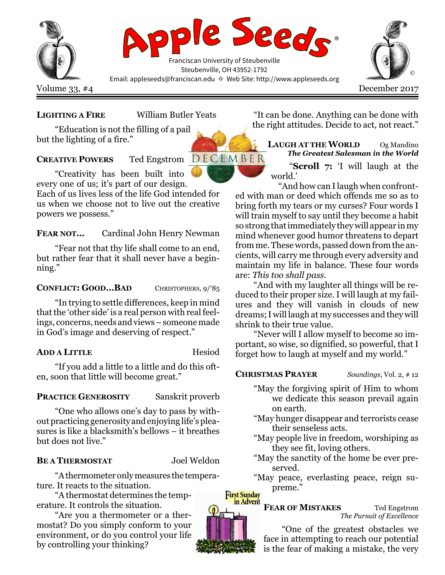

## LIGHTING A FIRE William Butler Yeats

"Education is not the filling of a pail but the lighting of a fire."

# **CREATIVE POWERS** Ted Engstrom  $D E C E M B E R$

"Creativity has been built into every one of us; it's part of our design.

Each of us lives less of the life God intended for us when we choose not to live out the creative powers we possess."

FEAR NOT… Cardinal John Henry Newman

"Fear not that thy life shall come to an end, but rather fear that it shall never have a beginning."

### CONFLICT: GOOD... BAD CHRISTOPHERS, 9/85

"In trying to settle differences, keep in mind that the 'other side' is a real person with real feelings, concerns, needs and views – someone made in God's image and deserving of respect."

## ADD A LITTLE Hesiod

"If you add a little to a little and do this often, soon that little will become great."

## PRACTICE GENEROSITY Sanskrit proverb

"One who allows one's day to pass by without practicing generosity and enjoying life's pleasures is like a blacksmith's bellows – it breathes but does not live."

## BE A THERMOSTAT Joel Weldon

"A thermometer only measures the temperature. It reacts to the situation.

"A thermostat determines the temperature. It controls the situation.

"Are you a thermometer or a thermostat? Do you simply conform to your environment, or do you control your life by controlling your thinking?

"It can be done. Anything can be done with the right attitudes. Decide to act, not react."

LAUGH AT THE WORLD Og Mandino The Greatest Salesman in the World "Scroll 7: 'I will laugh at the world.'

"And how can I laugh when confronted with man or deed which offends me so as to bring forth my tears or my curses? Four words I will train myself to say until they become a habit so strong that immediately they will appear in my mind whenever good humor threatens to depart from me. These words, passed down from the ancients, will carry me through every adversity and maintain my life in balance. These four words are: This too shall pass.

"And with my laughter all things will be reduced to their proper size. I will laugh at my failures and they will vanish in clouds of new dreams; I will laugh at my successes and they will shrink to their true value.

"Never will I allow myself to become so important, so wise, so dignified, so powerful, that I forget how to laugh at myself and my world."

## **CHRISTMAS PRAYER** Soundings, Vol. 2, #12

- "May the forgiving spirit of Him to whom we dedicate this season prevail again on earth.
- "May hunger disappear and terrorists cease their senseless acts.
- "May people live in freedom, worshiping as they see fit, loving others.
- "May the sanctity of the home be ever preserved.
- "May peace, everlasting peace, reign supreme."

## FEAR OF MISTAKES Ted Engstrom The Pursuit of Excellence

"One of the greatest obstacles we face in attempting to reach our potential is the fear of making a mistake, the very